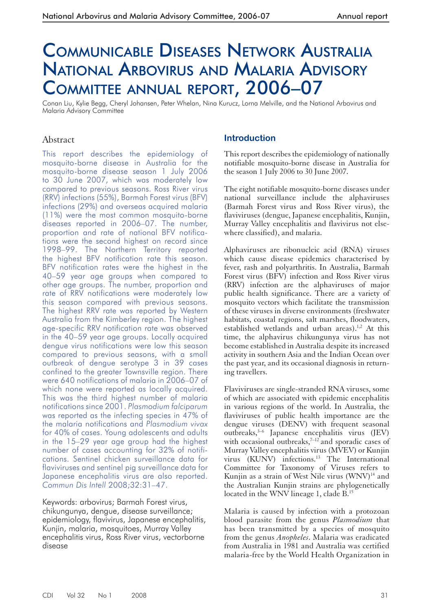# COMMUNICABLE DISEASES NETWORK AUSTRALIA NATIONAL ARBOVIRUS AND MALARIA ADVISORY COMMITTEE ANNUAL REPORT, 2006–07

Conan Liu, Kylie Begg, Cheryl Johansen, Peter Whelan, Nina Kurucz, Lorna Melville, and the National Arbovirus and Malaria Advisory Committee

# Abstract

This report describes the epidemiology of mosquito-borne disease in Australia for the mosquito-borne disease season 1 July 2006 to 30 June 2007, which was moderately low compared to previous seasons. Ross River virus (RRV) infections (55%), Barmah Forest virus (BFV) infections (29%) and overseas acquired malaria (11%) were the most common mosquito-borne diseases reported in 2006–07. The number, proportion and rate of national BFV notifications were the second highest on record since 1998–99. The Northern Territory reported the highest BFV notification rate this season. BFV notification rates were the highest in the 40–59 year age groups when compared to other age groups. The number, proportion and rate of RRV notifications were moderately low this season compared with previous seasons. The highest RRV rate was reported by Western Australia from the Kimberley region. The highest age-specific RRV notification rate was observed in the 40–59 year age groups. Locally acquired dengue virus notifications were low this season compared to previous seasons, with a small outbreak of dengue serotype 3 in 39 cases confined to the greater Townsville region. There were 640 notifications of malaria in 2006–07 of which none were reported as locally acquired. This was the third highest number of malaria notifications since 2001. *Plasmodium falciparum* was reported as the infecting species in 47% of the malaria notifications and *Plasmodium vivax* for 40% of cases. Young adolescents and adults in the 15–29 year age group had the highest number of cases accounting for 32% of notifications. Sentinel chicken surveillance data for flaviviruses and sentinel pig surveillance data for Japanese encephalitis virus are also reported. *Commun Dis Intell* 2008;32:31–47.

Keywords: arbovirus; Barmah Forest virus, chikungunya, dengue, disease surveillance; epidemiology, flavivirus, Japanese encephalitis, Kunjin, malaria, mosquitoes, Murray Valley encephalitis virus, Ross River virus, vectorborne disease

# **Introduction**

This report describes the epidemiology of nationally notifiable mosquito-borne disease in Australia for the season 1 July 2006 to 30 June 2007.

The eight notifiable mosquito-borne diseases under national surveillance include the alphaviruses (Barmah Forest virus and Ross River virus), the flaviviruses (dengue, Japanese encephalitis, Kunjin, Murray Valley encephalitis and flavivirus not elsewhere classified), and malaria.

Alphaviruses are ribonucleic acid (RNA) viruses which cause disease epidemics characterised by fever, rash and polyarthritis. In Australia, Barmah Forest virus (BFV) infection and Ross River virus (RRV) infection are the alphaviruses of major public health significance. There are a variety of mosquito vectors which facilitate the transmission of these viruses in diverse environments (freshwater habitats, coastal regions, salt marshes, floodwaters, established wetlands and urban areas).<sup>1,2</sup> At this time, the alphavirus chikungunya virus has not become established in Australia despite its increased activity in southern Asia and the Indian Ocean over the past year, and its occasional diagnosis in returning travellers.

Flaviviruses are single-stranded RNA viruses, some of which are associated with epidemic encephalitis in various regions of the world. In Australia, the flaviviruses of public health importance are the dengue viruses (DENV) with frequent seasonal outbreaks,3–6 Japanese encephalitis virus (JEV) with occasional outbreaks, $7-12$  and sporadic cases of Murray Valley encephalitis virus (MVEV) or Kunjin virus (KUNV) infections.<sup>13</sup> The International Committee for Taxonomy of Viruses refers to Kunjin as a strain of West Nile virus (WNV)<sup>14</sup> and the Australian Kunjin strains are phylogenetically located in the WNV lineage 1, clade B.<sup>15</sup>

Malaria is caused by infection with a protozoan blood parasite from the genus *Plasmodium* that has been transmitted by a species of mosquito from the genus *Anopheles*. Malaria was eradicated from Australia in 1981 and Australia was certified malaria-free by the World Health Organization in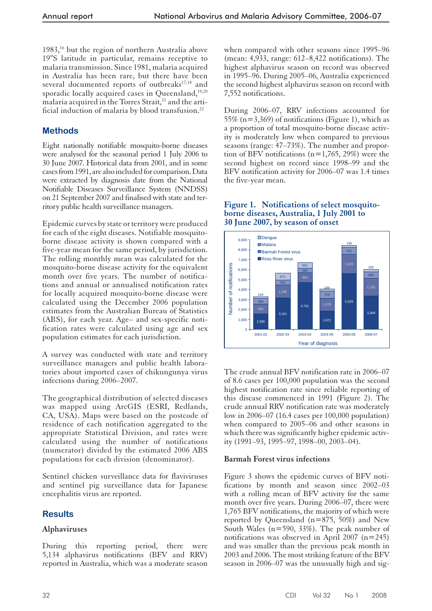1983,<sup>16</sup> but the region of northern Australia above 19°S latitude in particular, remains receptive to malaria transmission. Since 1981, malaria acquired in Australia has been rare, but there have been several documented reports of outbreaks<sup>17,18</sup> and sporadic locally acquired cases in Queensland,<sup>19,20</sup> malaria acquired in the Torres Strait,<sup>21</sup> and the artificial induction of malaria by blood transfusion.22

# **Methods**

Eight nationally notifiable mosquito-borne diseases were analysed for the seasonal period 1 July 2006 to 30 June 2007. Historical data from 2001, and in some cases from 1991, are also included for comparison. Data were extracted by diagnosis date from the National Notifiable Diseases Surveillance System (NNDSS) on 21 September 2007 and finalised with state and territory public health surveillance managers.

Epidemic curves by state or territory were produced for each of the eight diseases. Notifiable mosquitoborne disease activity is shown compared with a five-year mean for the same period, by jurisdiction. The rolling monthly mean was calculated for the mosquito-borne disease activity for the equivalent month over five years. The number of notifications and annual or annualised notification rates for locally acquired mosquito-borne disease were calculated using the December 2006 population estimates from the Australian Bureau of Statistics (ABS), for each year. Age– and sex-specific notification rates were calculated using age and sex population estimates for each jurisdiction.

A survey was conducted with state and territory surveillance managers and public health laboratories about imported cases of chikungunya virus infections during 2006–2007.

The geographical distribution of selected diseases was mapped using ArcGIS (ESRI, Redlands, CA, USA). Maps were based on the postcode of residence of each notification aggregated to the appropriate Statistical Division, and rates were calculated using the number of notifications (numerator) divided by the estimated 2006 ABS populations for each division (denominator).

Sentinel chicken surveillance data for flaviviruses and sentinel pig surveillance data for Japanese encephalitis virus are reported.

# **Results**

## **Alphaviruses**

During this reporting period, there were 5,134 alphavirus notifications (BFV and RRV) reported in Australia, which was a moderate season when compared with other seasons since 1995–96 (mean: 4,933, range: 612–8,422 notifications). The highest alphavirus season on record was observed in 1995–96. During 2005–06, Australia experienced the second highest alphavirus season on record with 7,552 notifications.

During 2006–07, RRV infections accounted for 55% ( $n=3,369$ ) of notifications (Figure 1), which as a proportion of total mosquito-borne disease activity is moderately low when compared to previous seasons (range: 47–73%). The number and proportion of BFV notifications ( $n=1,765, 29\%$ ) were the second highest on record since 1998–99 and the BFV notification activity for 2006–07 was 1.4 times the five-year mean.

#### **Figure 1. Notifications of select mosquitoborne diseases, Australia, 1 July 2001 to 30 June 2007, by season of onset**



The crude annual BFV notification rate in 2006–07 of 8.6 cases per 100,000 population was the second highest notification rate since reliable reporting of this disease commenced in 1991 (Figure 2). The crude annual RRV notification rate was moderately low in 2006–07 (16.4 cases per 100,000 population) when compared to 2005–06 and other seasons in which there was significantly higher epidemic activity (1991–93, 1995–97, 1998–00, 2003–04).

## **Barmah Forest virus infections**

Figure 3 shows the epidemic curves of BFV notifications by month and season since 2002–03 with a rolling mean of BFV activity for the same month over five years. During 2006–07, there were 1,765 BFV notifications, the majority of which were reported by Queensland  $(n=875, 50\%)$  and New South Wales (n=590, 33%). The peak number of notifications was observed in April 2007  $(n=245)$ and was smaller than the previous peak month in 2003 and 2006. The most striking feature of the BFV season in 2006–07 was the unusually high and sig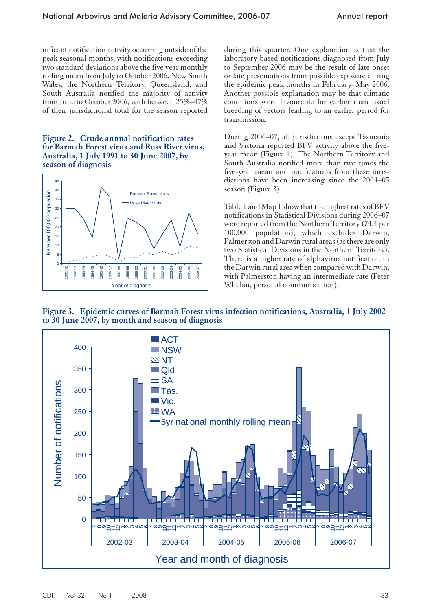nificant notification activity occurring outside of the peak seasonal months, with notifications exceeding two standard deviations above the five year monthly rolling mean from July to October 2006. New South Wales, the Northern Territory, Queensland, and South Australia notified the majority of activity from June to October 2006, with between 25%–47% of their jurisdictional total for the season reported

#### **Figure 2. Crude annual notification rates for Barmah Forest virus and Ross River virus, Australia, 1 July 1991 to 30 June 2007, by season of diagnosis**



during this quarter. One explanation is that the laboratory-based notifications diagnosed from July to September 2006 may be the result of late onset or late presentations from possible exposure during the epidemic peak months in February–May 2006. Another possible explanation may be that climatic conditions were favourable for earlier than usual breeding of vectors leading to an earlier period for transmission.

During 2006–07, all jurisdictions except Tasmania and Victoria reported BFV activity above the fiveyear mean (Figure 4). The Northern Territory and South Australia notified more than two times the five-year mean and notifications from these jurisdictions have been increasing since the 2004–05 season (Figure 3).

Table 1 and Map 1 show that the highest rates of BFV notifications in Statistical Divisions during 2006–07 were reported from the Northern Territory (74.4 per 100,000 population), which excludes Darwin, Palmerston and Darwin rural areas (as there are only two Statistical Divisions in the Northern Territory). There is a higher rate of alphavirus notification in the Darwin rural area when compared with Darwin, with Palmerston having an intermediate rate (Peter Whelan, personal communication).

**Figure 3. Epidemic curves of Barmah Forest virus infection notifications, Australia, 1 July 2002 to 30 June 2007, by month and season of diagnosis**

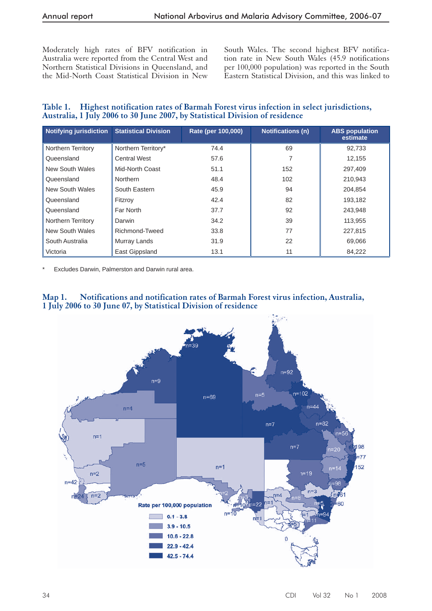Moderately high rates of BFV notification in Australia were reported from the Central West and Northern Statistical Divisions in Queensland, and the Mid-North Coast Statistical Division in New South Wales. The second highest BFV notification rate in New South Wales (45.9 notifications per 100,000 population) was reported in the South Eastern Statistical Division, and this was linked to

# **Table 1. Highest notification rates of Barmah Forest virus infection in select jurisdictions, Australia, 1 July 2006 to 30 June 2007, by Statistical Division of residence**

| <b>Notifying jurisdiction</b> | <b>Statistical Division</b> | Rate (per 100,000) | <b>Notifications (n)</b> | <b>ABS</b> population<br>estimate |
|-------------------------------|-----------------------------|--------------------|--------------------------|-----------------------------------|
| Northern Territory            | Northern Territory*         | 74.4               | 69                       | 92.733                            |
| Queensland                    | <b>Central West</b>         | 57.6               | 7                        | 12.155                            |
| New South Wales               | Mid-North Coast             | 51.1               | 152                      | 297.409                           |
| Queensland                    | Northern                    | 48.4               | 102                      | 210,943                           |
| New South Wales               | South Eastern               | 45.9               | 94                       | 204.854                           |
| Queensland                    | Fitzrov                     | 42.4               | 82                       | 193.182                           |
| Queensland                    | Far North                   | 37.7               | 92                       | 243,948                           |
| Northern Territory            | Darwin                      | 34.2               | 39                       | 113,955                           |
| New South Wales               | Richmond-Tweed              | 33.8               | 77                       | 227.815                           |
| South Australia               | Murray Lands                | 31.9               | 22                       | 69,066                            |
| Victoria                      | East Gippsland              | 13.1               | 11                       | 84,222                            |

Excludes Darwin, Palmerston and Darwin rural area.

# **Map 1. Notifications and notification rates of Barmah Forest virus infection, Australia, 1 July 2006 to 30 June 07, by Statistical Division of residence**

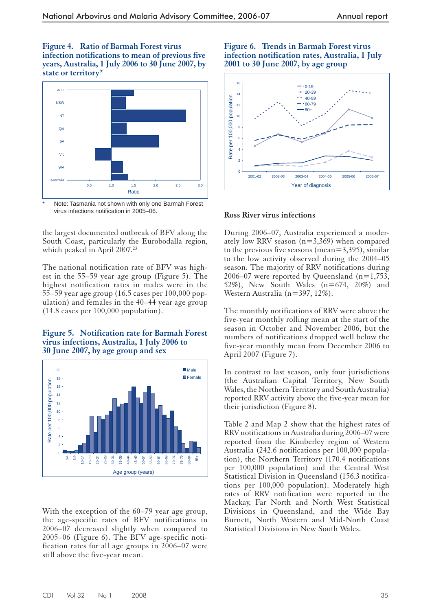**Figure 4. Ratio of Barmah Forest virus infection notifications to mean of previous five years, Australia, 1 July 2006 to 30 June 2007, by state or territory\***



Note: Tasmania not shown with only one Barmah Forest virus infections notification in 2005–06.

the largest documented outbreak of BFV along the South Coast, particularly the Eurobodalla region, which peaked in April 2007.<sup>23</sup>

The national notification rate of BFV was highest in the 55–59 year age group (Figure 5). The highest notification rates in males were in the 55–59 year age group (16.5 cases per 100,000 population) and females in the 40–44 year age group (14.8 cases per 100,000 population).

#### **Figure 5. Notification rate for Barmah Forest virus infections, Australia, 1 July 2006 to 30 June 2007, by age group and sex**



With the exception of the  $60-79$  year age group, the age-specific rates of BFV notifications in 2006–07 decreased slightly when compared to 2005–06 (Figure 6). The BFV age-specific notification rates for all age groups in 2006–07 were still above the five-year mean.

#### **Figure 6. Trends in Barmah Forest virus infection notification rates, Australia, 1 July 2001 to 30 June 2007, by age group**



## **Ross River virus infections**

During 2006–07, Australia experienced a moderately low RRV season (n=3,369) when compared to the previous five seasons (mean=3,395), similar to the low activity observed during the 2004–05 season. The majority of RRV notifications during 2006–07 were reported by Queensland  $(n=1,753,$ 52%), New South Wales (n=674, 20%) and Western Australia (n=397, 12%).

The monthly notifications of RRV were above the five-year monthly rolling mean at the start of the season in October and November 2006, but the numbers of notifications dropped well below the five-year monthly mean from December 2006 to April 2007 (Figure 7).

In contrast to last season, only four jurisdictions (the Australian Capital Territory, New South Wales, the Northern Territory and South Australia) reported RRV activity above the five-year mean for their jurisdiction (Figure 8).

Table 2 and Map 2 show that the highest rates of RRV notifications in Australia during 2006–07 were reported from the Kimberley region of Western Australia (242.6 notifications per 100,000 population), the Northern Territory (170.4 notifications per 100,000 population) and the Central West Statistical Division in Queensland (156.3 notifications per 100,000 population). Moderately high rates of RRV notification were reported in the Mackay, Far North and North West Statistical Divisions in Queensland, and the Wide Bay Burnett, North Western and Mid-North Coast Statistical Divisions in New South Wales.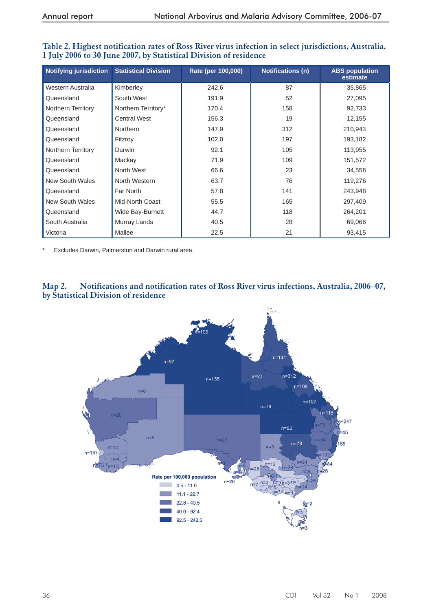| <b>Notifying jurisdiction</b> | <b>Statistical Division</b> | Rate (per 100,000) | <b>Notifications (n)</b> | <b>ABS population</b><br>estimate |
|-------------------------------|-----------------------------|--------------------|--------------------------|-----------------------------------|
| Western Australia             | Kimberley                   | 242.6              | 87                       | 35,865                            |
| Queensland                    | South West                  | 191.9              | 52                       | 27,095                            |
| Northern Territory            | Northern Territory*         | 170.4              | 158                      | 92,733                            |
| Queensland                    | <b>Central West</b>         | 156.3              | 19                       | 12,155                            |
| Queensland                    | Northern                    | 147.9              | 312                      | 210,943                           |
| Queensland                    | Fitzroy                     | 102.0              | 197                      | 193,182                           |
| Northern Territory            | Darwin                      | 92.1               | 105                      | 113,955                           |
| Queensland                    | Mackay                      | 71.9               | 109                      | 151,572                           |
| Queensland                    | North West                  | 66.6               | 23                       | 34,558                            |
| <b>New South Wales</b>        | North Western               | 63.7               | 76                       | 119,276                           |
| Queensland                    | Far North                   | 57.8               | 141                      | 243,948                           |
| <b>New South Wales</b>        | Mid-North Coast             | 55.5               | 165                      | 297,409                           |
| Queensland                    | Wide Bay-Burnett            | 44.7               | 118                      | 264,201                           |
| South Australia               | Murray Lands                | 40.5               | 28                       | 69,066                            |
| Victoria                      | Mallee                      | 22.5               | 21                       | 93,415                            |

#### **Table 2. Highest notification rates of Ross River virus infection in select jurisdictions, Australia, 1 July 2006 to 30 June 2007, by Statistical Division of residence**

\* Excludes Darwin, Palmerston and Darwin rural area.



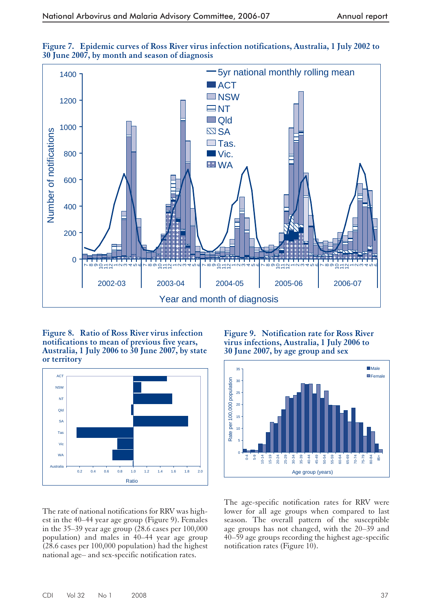



**Figure 8. Ratio of Ross River virus infection notifications to mean of previous five years, Australia, 1 July 2006 to 30 June 2007, by state or territory**



**Figure 9. Notification rate for Ross River virus infections, Australia, 1 July 2006 to 30 June 2007, by age group and sex**



The rate of national notifications for RRV was highest in the 40–44 year age group (Figure 9). Females in the 35–39 year age group  $(28.6 \text{ cases per } 100,000$ population) and males in 40–44 year age group (28.6 cases per 100,000 population) had the highest national age– and sex-specific notification rates.

The age-specific notification rates for RRV were lower for all age groups when compared to last season. The overall pattern of the susceptible age groups has not changed, with the 20–39 and 40–59 age groups recording the highest age-specific notification rates (Figure 10).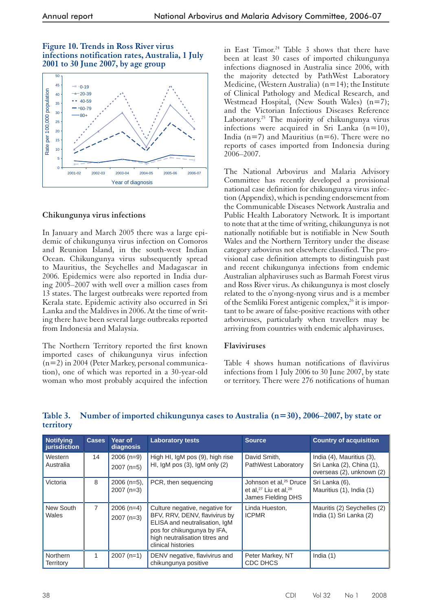#### **Figure 10. Trends in Ross River virus infections notification rates, Australia, 1 July 2001 to 30 June 2007, by age group**



# **Chikungunya virus infections**

In January and March 2005 there was a large epidemic of chikungunya virus infection on Comoros and Reunion Island, in the south-west Indian Ocean. Chikungunya virus subsequently spread to Mauritius, the Seychelles and Madagascar in 2006. Epidemics were also reported in India during 2005–2007 with well over a million cases from 13 states. The largest outbreaks were reported from Kerala state. Epidemic activity also occurred in Sri Lanka and the Maldives in 2006. At the time of writing there have been several large outbreaks reported from Indonesia and Malaysia.

The Northern Territory reported the first known imported cases of chikungunya virus infection (n=2) in 2004 (Peter Markey, personal communication), one of which was reported in a 30-year-old woman who most probably acquired the infection

in East Timor.<sup>24</sup> Table 3 shows that there have been at least 30 cases of imported chikungunya infections diagnosed in Australia since 2006, with the majority detected by PathWest Laboratory Medicine, (Western Australia)  $(n=14)$ ; the Institute of Clinical Pathology and Medical Research, and Westmead Hospital, (New South Wales) (n=7); and the Victorian Infectious Diseases Reference Laboratory.<sup>25</sup> The majority of chikungunya virus infections were acquired in Sri Lanka  $(n=10)$ , India ( $n=7$ ) and Mauritius ( $n=6$ ). There were no reports of cases imported from Indonesia during 2006–2007.

The National Arbovirus and Malaria Advisory Committee has recently developed a provisional national case definition for chikungunya virus infection (Appendix), which is pending endorsement from the Communicable Diseases Network Australia and Public Health Laboratory Network. It is important to note that at the time of writing, chikungunya is not nationally notifiable but is notifiable in New South Wales and the Northern Territory under the disease category arbovirus not elsewhere classified. The provisional case definition attempts to distinguish past and recent chikungunya infections from endemic Australian alphaviruses such as Barmah Forest virus and Ross River virus. As chikungunya is most closely related to the o'nyong-nyong virus and is a member of the Semliki Forest antigenic complex,  $^{26}$  it is important to be aware of false-positive reactions with other arboviruses, particularly when travellers may be arriving from countries with endemic alphaviruses.

#### **Flaviviruses**

Table 4 shows human notifications of flavivirus infections from 1 July 2006 to 30 June 2007, by state or territory. There were 276 notifications of human

| <b>Notifying</b><br>jurisdiction | <b>Cases</b>   | <b>Year of</b><br>diagnosis  | <b>Laboratory tests</b>                                                                                                                                                                 | <b>Source</b>                                                                           | <b>Country of acquisition</b>                                                       |
|----------------------------------|----------------|------------------------------|-----------------------------------------------------------------------------------------------------------------------------------------------------------------------------------------|-----------------------------------------------------------------------------------------|-------------------------------------------------------------------------------------|
| Western<br>Australia             | 14             | $2006(n=9)$<br>$2007$ (n=5)  | High HI, IgM pos (9), high rise<br>HI, $IgM$ pos $(3)$ , $IgM$ only $(2)$                                                                                                               | David Smith,<br>PathWest Laboratory                                                     | India (4), Mauritius (3),<br>Sri Lanka (2), China (1),<br>overseas (2), unknown (2) |
| Victoria                         | 8              | $2006$ (n=5),<br>$2007(n=3)$ | PCR, then sequencing                                                                                                                                                                    | Johnson et al, <sup>25</sup> Druce<br>et al, $27$ Liu et al, $28$<br>James Fielding DHS | Sri Lanka (6),<br>Mauritius (1), India (1)                                          |
| New South<br>Wales               | $\overline{7}$ | $2006$ (n=4)<br>$2007(n=3)$  | Culture negative, negative for<br>BFV, RRV, DENV, flavivirus by<br>ELISA and neutralisation, IgM<br>pos for chikungunya by IFA,<br>high neutralisation titres and<br>clinical histories | Linda Hueston,<br><b>ICPMR</b>                                                          | Mauritis (2) Seychelles (2)<br>India (1) Sri Lanka (2)                              |
| Northern<br>Territory            | 1              | $2007(n=1)$                  | DENV negative, flavivirus and<br>chikungunya positive                                                                                                                                   | Peter Markey, NT<br><b>CDC DHCS</b>                                                     | India $(1)$                                                                         |

# **Table 3. Number of imported chikungunya cases to Australia (n=30), 2006–2007, by state or territory**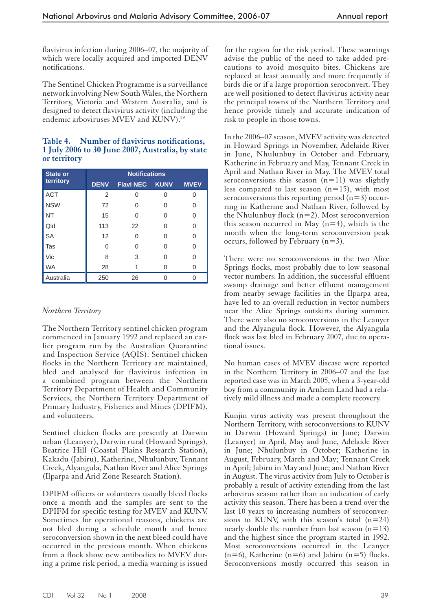flavivirus infection during 2006–07, the majority of which were locally acquired and imported DENV notifications.

The Sentinel Chicken Programme is a surveillance network involving New South Wales, the Northern Territory, Victoria and Western Australia, and is designed to detect flavivirus activity (including the endemic arboviruses MVEV and KUNV).<sup>29</sup>

#### **Table 4. Number of flavivirus notifications, 1 July 2006 to 30 June 2007, Australia, by state or territory**

| <b>State or</b> | <b>Notifications</b> |                  |             |             |  |  |  |  |
|-----------------|----------------------|------------------|-------------|-------------|--|--|--|--|
| territory       | <b>DENV</b>          | <b>Flavi NEC</b> | <b>KUNV</b> | <b>MVEV</b> |  |  |  |  |
| <b>ACT</b>      | 2                    | 0                | Ω           |             |  |  |  |  |
| <b>NSW</b>      | 72                   | 0                |             | ∩           |  |  |  |  |
| NT              | 15                   | O                | O           | O           |  |  |  |  |
| Qld             | 113                  | 22               | ∩           | ∩           |  |  |  |  |
| <b>SA</b>       | 12                   | 0                |             | U           |  |  |  |  |
| Tas             | $\Omega$             | 0                | ∩           | $\Omega$    |  |  |  |  |
| Vic             | 8                    | 3                | ∩           | ∩           |  |  |  |  |
| <b>WA</b>       | 28                   | 1                |             |             |  |  |  |  |
| Australia       | 250                  | 26               |             |             |  |  |  |  |

## *Northern Territory*

The Northern Territory sentinel chicken program commenced in January 1992 and replaced an earlier program run by the Australian Quarantine and Inspection Service (AQIS). Sentinel chicken flocks in the Northern Territory are maintained, bled and analysed for flavivirus infection in a combined program between the Northern Territory Department of Health and Community Services, the Northern Territory Department of Primary Industry, Fisheries and Mines (DPIFM), and volunteers.

Sentinel chicken flocks are presently at Darwin urban (Leanyer), Darwin rural (Howard Springs), Beatrice Hill (Coastal Plains Research Station), Kakadu (Jabiru), Katherine, Nhulunbuy, Tennant Creek, Alyangula, Nathan River and Alice Springs (Ilparpa and Arid Zone Research Station).

DPIFM officers or volunteers usually bleed flocks once a month and the samples are sent to the DPIFM for specific testing for MVEV and KUNV. Sometimes for operational reasons, chickens are not bled during a schedule month and hence seroconversion shown in the next bleed could have occurred in the previous month. When chickens from a flock show new antibodies to MVEV during a prime risk period, a media warning is issued

for the region for the risk period. These warnings advise the public of the need to take added precautions to avoid mosquito bites. Chickens are replaced at least annually and more frequently if birds die or if a large proportion seroconvert. They are well positioned to detect flavivirus activity near the principal towns of the Northern Territory and hence provide timely and accurate indication of risk to people in those towns.

In the 2006–07 season, MVEV activity was detected in Howard Springs in November, Adelaide River in June, Nhulunbuy in October and February, Katherine in February and May, Tennant Creek in April and Nathan River in May. The MVEV total seroconversions this season  $(n=11)$  was slightly less compared to last season  $(n=15)$ , with most seroconversions this reporting period  $(n=3)$  occurring in Katherine and Nathan River, followed by the Nhulunbuy flock  $(n=2)$ . Most seroconversion this season occurred in May  $(n=4)$ , which is the month when the long-term seroconversion peak occurs, followed by February (n=3).

There were no seroconversions in the two Alice Springs flocks, most probably due to low seasonal vector numbers. In addition, the successful effluent swamp drainage and better effluent management from nearby sewage facilities in the Ilparpa area, have led to an overall reduction in vector numbers near the Alice Springs outskirts during summer. There were also no seroconversions in the Leanyer and the Alyangula flock. However, the Alyangula flock was last bled in February 2007, due to operational issues.

No human cases of MVEV disease were reported in the Northern Territory in 2006–07 and the last reported case was in March 2005, when a 3-year-old boy from a community in Arnhem Land had a relatively mild illness and made a complete recovery.

Kunjin virus activity was present throughout the Northern Territory, with seroconversions to KUNV in Darwin (Howard Springs) in June; Darwin (Leanyer) in April, May and June, Adelaide River in June; Nhulunbuy in October; Katherine in August, February, March and May; Tennant Creek in April; Jabiru in May and June; and Nathan River in August. The virus activity from July to October is probably a result of activity extending from the last arbovirus season rather than an indication of early activity this season. There has been a trend over the last 10 years to increasing numbers of seroconversions to KUNV, with this season's total  $(n=24)$ nearly double the number from last season  $(n=13)$ and the highest since the program started in 1992. Most seroconversions occurred in the Leanyer  $(n=6)$ , Katherine  $(n=6)$  and Jabiru  $(n=5)$  flocks. Seroconversions mostly occurred this season in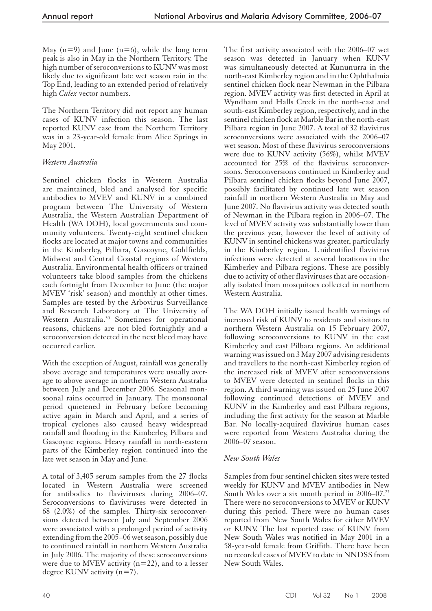May  $(n=9)$  and June  $(n=6)$ , while the long term peak is also in May in the Northern Territory. The high number of seroconversions to KUNV was most likely due to significant late wet season rain in the Top End, leading to an extended period of relatively high *Culex* vector numbers.

The Northern Territory did not report any human cases of KUNV infection this season. The last reported KUNV case from the Northern Territory was in a 23-year-old female from Alice Springs in May 2001.

## *Western Australia*

Sentinel chicken flocks in Western Australia are maintained, bled and analysed for specific antibodies to MVEV and KUNV in a combined program between The University of Western Australia, the Western Australian Department of Health (WA DOH), local governments and community volunteers. Twenty-eight sentinel chicken flocks are located at major towns and communities in the Kimberley, Pilbara, Gascoyne, Goldfields, Midwest and Central Coastal regions of Western Australia. Environmental health officers or trained volunteers take blood samples from the chickens each fortnight from December to June (the major MVEV 'risk' season) and monthly at other times. Samples are tested by the Arbovirus Surveillance and Research Laboratory at The University of Western Australia.<sup>30</sup> Sometimes for operational reasons, chickens are not bled fortnightly and a seroconversion detected in the next bleed may have occurred earlier.

With the exception of August, rainfall was generally above average and temperatures were usually average to above average in northern Western Australia between July and December 2006. Seasonal monsoonal rains occurred in January. The monsoonal period quietened in February before becoming active again in March and April, and a series of tropical cyclones also caused heavy widespread rainfall and flooding in the Kimberley, Pilbara and Gascoyne regions. Heavy rainfall in north-eastern parts of the Kimberley region continued into the late wet season in May and June.

A total of 3,405 serum samples from the 27 flocks located in Western Australia were screened for antibodies to flaviviruses during 2006–07. Seroconversions to flaviviruses were detected in 68 (2.0%) of the samples. Thirty-six seroconversions detected between July and September 2006 were associated with a prolonged period of activity extending from the 2005–06 wet season, possibly due to continued rainfall in northern Western Australia in July 2006. The majority of these seroconversions were due to MVEV activity  $(n=22)$ , and to a lesser degree KUNV activity (n=7).

The first activity associated with the 2006–07 wet season was detected in January when KUNV was simultaneously detected at Kununurra in the north-east Kimberley region and in the Ophthalmia sentinel chicken flock near Newman in the Pilbara region. MVEV activity was first detected in April at Wyndham and Halls Creek in the north-east and south-east Kimberley region, respectively, and in the sentinel chicken flock at Marble Bar in the north-east Pilbara region in June 2007. A total of 32 flavivirus seroconversions were associated with the 2006–07 wet season. Most of these flavivirus seroconversions were due to KUNV activity (56%), whilst MVEV accounted for 25% of the flavivirus seroconversions. Seroconversions continued in Kimberley and Pilbara sentinel chicken flocks beyond June 2007, possibly facilitated by continued late wet season rainfall in northern Western Australia in May and June 2007. No flavivirus activity was detected south of Newman in the Pilbara region in 2006–07. The level of MVEV activity was substantially lower than the previous year, however the level of activity of KUNV in sentinel chickens was greater, particularly in the Kimberley region. Unidentified flavivirus infections were detected at several locations in the Kimberley and Pilbara regions. These are possibly due to activity of other flaviviruses that are occasionally isolated from mosquitoes collected in northern Western Australia.

The WA DOH initially issued health warnings of increased risk of KUNV to residents and visitors to northern Western Australia on 15 February 2007, following seroconversions to KUNV in the east Kimberley and east Pilbara regions. An additional warning was issued on 3 May 2007 advising residents and travellers to the north-east Kimberley region of the increased risk of MVEV after seroconversions to MVEV were detected in sentinel flocks in this region. A third warning was issued on 25 June 2007 following continued detections of MVEV and KUNV in the Kimberley and east Pilbara regions, including the first activity for the season at Marble Bar. No locally-acquired flavivirus human cases were reported from Western Australia during the 2006–07 season.

## *New South Wales*

Samples from four sentinel chicken sites were tested weekly for KUNV and MVEV antibodies in New South Wales over a six month period in  $2006-07^{23}$ There were no seroconversions to MVEV or KUNV during this period. There were no human cases reported from New South Wales for either MVEV or KUNV. The last reported case of KUNV from New South Wales was notified in May 2001 in a 58-year-old female from Griffith. There have been no recorded cases of MVEV to date in NNDSS from New South Wales.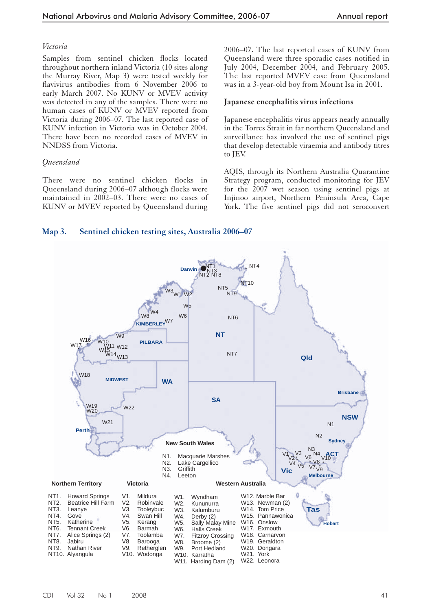#### *Victoria*

Samples from sentinel chicken flocks located throughout northern inland Victoria (10 sites along the Murray River, Map 3) were tested weekly for flavivirus antibodies from 6 November 2006 to early March 2007. No KUNV or MVEV activity was detected in any of the samples. There were no human cases of KUNV or MVEV reported from Victoria during 2006–07. The last reported case of KUNV infection in Victoria was in October 2004. There have been no recorded cases of MVEV in NNDSS from Victoria.

## *Queensland*

There were no sentinel chicken flocks in Queensland during 2006–07 although flocks were maintained in 2002–03. There were no cases of KUNV or MVEV reported by Queensland during

2006–07. The last reported cases of KUNV from Queensland were three sporadic cases notified in July 2004, December 2004, and February 2005. The last reported MVEV case from Queensland was in a 3-year-old boy from Mount Isa in 2001.

#### **Japanese encephalitis virus infections**

Japanese encephalitis virus appears nearly annually in the Torres Strait in far northern Queensland and surveillance has involved the use of sentinel pigs that develop detectable viraemia and antibody titres to JEV.

AQIS, through its Northern Australia Quarantine Strategy program, conducted monitoring for JEV for the 2007 wet season using sentinel pigs at Injinoo airport, Northern Peninsula Area, Cape York. The five sentinel pigs did not seroconvert

## **Map 3. Sentinel chicken testing sites, Australia 2006–07**

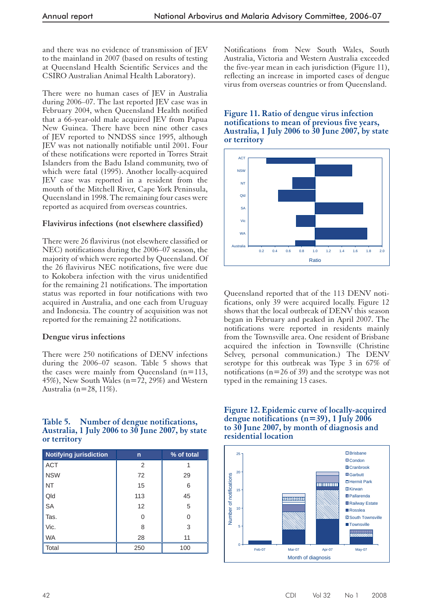and there was no evidence of transmission of JEV to the mainland in 2007 (based on results of testing at Queensland Health Scientific Services and the CSIRO Australian Animal Health Laboratory).

There were no human cases of JEV in Australia during 2006–07. The last reported JEV case was in February 2004, when Queensland Health notified that a 66-year-old male acquired JEV from Papua New Guinea. There have been nine other cases of JEV reported to NNDSS since 1995, although JEV was not nationally notifiable until 2001. Four of these notifications were reported in Torres Strait Islanders from the Badu Island community, two of which were fatal (1995). Another locally-acquired JEV case was reported in a resident from the mouth of the Mitchell River, Cape York Peninsula, Queensland in 1998. The remaining four cases were reported as acquired from overseas countries.

## **Flavivirus infections (not elsewhere classified)**

There were 26 flavivirus (not elsewhere classified or NEC) notifications during the 2006–07 season, the majority of which were reported by Queensland. Of the 26 flavivirus NEC notifications, five were due to Kokobera infection with the virus unidentified for the remaining 21 notifications. The importation status was reported in four notifications with two acquired in Australia, and one each from Uruguay and Indonesia. The country of acquisition was not reported for the remaining 22 notifications.

#### **Dengue virus infections**

There were 250 notifications of DENV infections during the 2006–07 season. Table 5 shows that the cases were mainly from Queensland (n=113, 45%), New South Wales (n=72, 29%) and Western Australia (n=28, 11%).

#### **Table 5. Number of dengue notifications, Australia, 1 July 2006 to 30 June 2007, by state or territory**

| <b>Notifying jurisdiction</b> | n   | % of total |
|-------------------------------|-----|------------|
| <b>ACT</b>                    | 2   |            |
| <b>NSW</b>                    | 72  | 29         |
| <b>NT</b>                     | 15  | 6          |
| Qld                           | 113 | 45         |
| <b>SA</b>                     | 12  | 5          |
| Tas.                          | 0   | 0          |
| Vic.                          | 8   | 3          |
| <b>WA</b>                     | 28  | 11         |
| Total                         | 250 | 100        |

Notifications from New South Wales, South Australia, Victoria and Western Australia exceeded the five-year mean in each jurisdiction (Figure 11), reflecting an increase in imported cases of dengue virus from overseas countries or from Queensland.

**Figure 11. Ratio of dengue virus infection notifications to mean of previous five years, Australia, 1 July 2006 to 30 June 2007, by state or territory**



Queensland reported that of the 113 DENV notifications, only 39 were acquired locally. Figure 12 shows that the local outbreak of DENV this season began in February and peaked in April 2007. The notifications were reported in residents mainly from the Townsville area. One resident of Brisbane acquired the infection in Townsville (Christine Selvey, personal communication.) The DENV serotype for this outbreak was Type 3 in 67% of notifications ( $n=26$  of 39) and the serotype was not typed in the remaining 13 cases.

**Figure 12. Epidemic curve of locally-acquired dengue notifications (n=39), 1 July 2006 to 30 June 2007, by month of diagnosis and residential location**

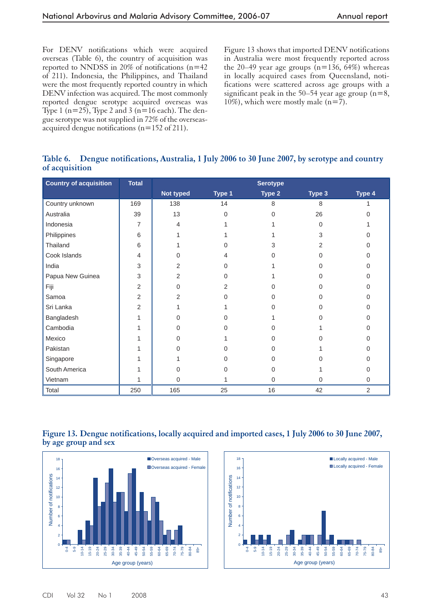For DENV notifications which were acquired overseas (Table 6), the country of acquisition was reported to NNDSS in 20% of notifications (n=42 of 211). Indonesia, the Philippines, and Thailand were the most frequently reported country in which DENV infection was acquired. The most commonly reported dengue serotype acquired overseas was Type 1 ( $n=25$ ), Type 2 and 3 ( $n=16$  each). The dengue serotype was not supplied in 72% of the overseasacquired dengue notifications (n=152 of 211).

Figure 13 shows that imported DENV notifications in Australia were most frequently reported across the 20–49 year age groups  $(n=136, 64%)$  whereas in locally acquired cases from Queensland, notifications were scattered across age groups with a significant peak in the 50–54 year age group  $(n=8, 1)$ 10%), which were mostly male  $(n=7)$ .

# **Table 6. Dengue notifications, Australia, 1 July 2006 to 30 June 2007, by serotype and country of acquisition**

| <b>Country of acquisition</b> | <b>Total</b> | <b>Serotype</b> |              |              |             |                |  |
|-------------------------------|--------------|-----------------|--------------|--------------|-------------|----------------|--|
|                               |              | Not typed       | Type 1       | Type 2       | Type 3      | Type 4         |  |
| Country unknown               | 169          | 138             | 14           | 8            | 8           |                |  |
| Australia                     | 39           | 13              | $\mathbf 0$  | $\Omega$     | 26          | 0              |  |
| Indonesia                     | 7            | 4               |              |              | $\Omega$    |                |  |
| Philippines                   | 6            |                 |              |              | 3           |                |  |
| Thailand                      | 6            |                 | 0            | 3            | 2           | ი              |  |
| Cook Islands                  | 4            | 0               | 4            | O            | $\Omega$    | 0              |  |
| India                         | 3            | 2               | $\Omega$     |              | ∩           | 0              |  |
| Papua New Guinea              | 3            | 2               | 0            |              |             | O              |  |
| Fiji                          | 2            | $\Omega$        | 2            |              | ∩           | O              |  |
| Samoa                         | 2            | $\overline{2}$  | $\Omega$     | <sup>0</sup> | ∩           | U              |  |
| Sri Lanka                     | 2            |                 |              | 0            | $\Omega$    | 0              |  |
| Bangladesh                    |              | $\Omega$        | <sup>0</sup> |              | ∩           | 0              |  |
| Cambodia                      |              | $\Omega$        | 0            | O            |             | 0              |  |
| Mexico                        |              | $\Omega$        |              | <sup>0</sup> | ∩           | 0              |  |
| Pakistan                      |              | $\Omega$        | 0            | 0            |             | 0              |  |
| Singapore                     |              |                 | 0            | 0            | ∩           | 0              |  |
| South America                 |              | $\Omega$        | 0            | 0            |             | 0              |  |
| Vietnam                       |              | $\Omega$        |              | 0            | $\mathbf 0$ | 0              |  |
| Total                         | 250          | 165             | 25           | 16           | 42          | $\overline{2}$ |  |

#### **Figure 13. Dengue notifications, locally acquired and imported cases, 1 July 2006 to 30 June 2007, by age group and sex**



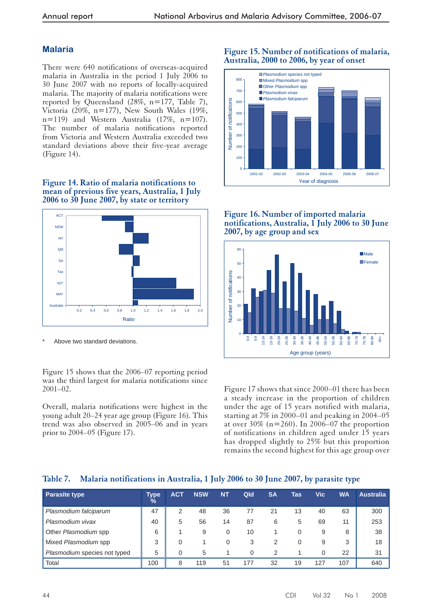# **Malaria**

There were 640 notifications of overseas-acquired malaria in Australia in the period 1 July 2006 to 30 June 2007 with no reports of locally-acquired malaria. The majority of malaria notifications were reported by Queensland (28%, n=177, Table 7), Victoria (20%, n=177), New South Wales (19%, n=119) and Western Australia (17%, n=107). The number of malaria notifications reported from Victoria and Western Australia exceeded two standard deviations above their five-year average (Figure 14).

#### **Figure 14. Ratio of malaria notifications to mean of previous five years, Australia, 1 July 2006 to 30 June 2007, by state or territory**



Above two standard deviations.

Figure 15 shows that the 2006–07 reporting period was the third largest for malaria notifications since 2001–02.

Overall, malaria notifications were highest in the young adult 20–24 year age group (Figure 16). This trend was also observed in 2005–06 and in years prior to 2004–05 (Figure 17).

## **Figure 15. Number of notifications of malaria, Australia, 2000 to 2006, by year of onset**



#### **Figure 16. Number of imported malaria notifications, Australia, 1 July 2006 to 30 June 2007, by age group and sex**



Figure 17 shows that since 2000–01 there has been a steady increase in the proportion of children under the age of 15 years notified with malaria, starting at 7% in 2000–01 and peaking in 2004–05 at over  $30\%$  (n=260). In 2006–07 the proportion of notifications in children aged under 15 years has dropped slightly to 25% but this proportion remains the second highest for this age group over

# **Table 7. Malaria notifications in Australia, 1 July 2006 to 30 June 2007, by parasite type**

| <b>Parasite type</b>         | Type<br>$\frac{9}{6}$ | <b>ACT</b> | <b>NSW</b> | <b>NT</b> | Qld      | <b>SA</b> | Tas | Vic | WA  | <b>Australia</b> |
|------------------------------|-----------------------|------------|------------|-----------|----------|-----------|-----|-----|-----|------------------|
| Plasmodium falciparum        | 47                    | 2          | 48         | 36        | 77       | 21        | 13  | 40  | 63  | 300              |
| Plasmodium vivax             | 40                    | 5          | 56         | 14        | 87       | 6         | 5   | 69  | 11  | 253              |
| Other Plasmodium spp         | 6                     |            | 9          | 0         | 10       |           | 0   | 9   | 8   | 38               |
| Mixed Plasmodium spp         | 3                     | 0          |            | 0         | 3        | 2         | 0   | 9   | 3   | 18               |
| Plasmodium species not typed | 5                     | $\Omega$   | 5          |           | $\Omega$ | 2         |     | 0   | 22  | 31               |
| Total                        | 100                   | 8          | 119        | 51        | 177      | 32        | 19  | 127 | 107 | 640              |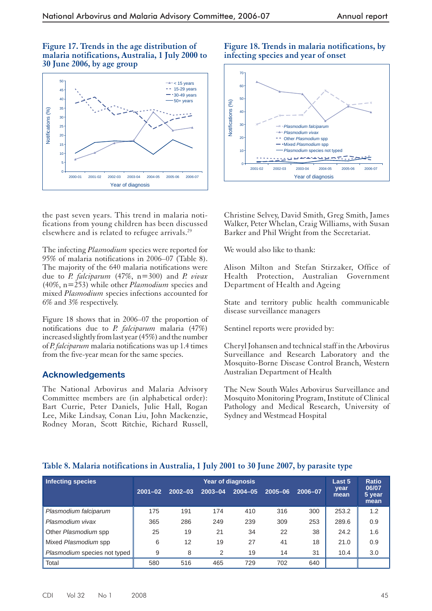**Figure 17. Trends in the age distribution of malaria notifications, Australia, 1 July 2000 to 30 June 2006, by age group**



the past seven years. This trend in malaria notifications from young children has been discussed elsewhere and is related to refugee arrivals.29

The infecting *Plasmodium* species were reported for 95% of malaria notifications in 2006–07 (Table 8). The majority of the 640 malaria notifications were due to *P. falciparum* (47%, n=300) and *P. vivax* (40%, n=253) while other *Plasmodium* species and mixed *Plasmodium* species infections accounted for 6% and 3% respectively.

Figure 18 shows that in 2006–07 the proportion of notifications due to *P. falciparum* malaria (47%) increased slightly from last year (45%) and the number of *P. falciparum* malaria notifications was up 1.4 times from the five-year mean for the same species.

## **Acknowledgements**

The National Arbovirus and Malaria Advisory Committee members are (in alphabetical order): Bart Currie, Peter Daniels, Julie Hall, Rogan Lee, Mike Lindsay, Conan Liu, John Mackenzie, Rodney Moran, Scott Ritchie, Richard Russell,

**Figure 18. Trends in malaria notifications, by infecting species and year of onset**



Christine Selvey, David Smith, Greg Smith, James Walker, Peter Whelan, Craig Williams, with Susan Barker and Phil Wright from the Secretariat.

We would also like to thank:

Alison Milton and Stefan Stirzaker, Office of Health Protection, Australian Government Department of Health and Ageing

State and territory public health communicable disease surveillance managers

Sentinel reports were provided by:

Cheryl Johansen and technical staff in the Arbovirus Surveillance and Research Laboratory and the Mosquito-Borne Disease Control Branch, Western Australian Department of Health

The New South Wales Arbovirus Surveillance and Mosquito Monitoring Program, Institute of Clinical Pathology and Medical Research, University of Sydney and Westmead Hospital

| Infecting species            | <b>Year of diagnosis</b> |             |         |             |             |         |              | <b>Ratio</b>            |
|------------------------------|--------------------------|-------------|---------|-------------|-------------|---------|--------------|-------------------------|
|                              | $2001 - 02$              | $2002 - 03$ | 2003-04 | $2004 - 05$ | $2005 - 06$ | 2006-07 | year<br>mean | 06/07<br>5 year<br>mean |
| Plasmodium falciparum        | 175                      | 191         | 174     | 410         | 316         | 300     | 253.2        | 1.2                     |
| Plasmodium vivax             | 365                      | 286         | 249     | 239         | 309         | 253     | 289.6        | 0.9                     |
| Other Plasmodium spp         | 25                       | 19          | 21      | 34          | 22          | 38      | 24.2         | 1.6                     |
| Mixed Plasmodium spp         | 6                        | 12          | 19      | 27          | 41          | 18      | 21.0         | 0.9                     |
| Plasmodium species not typed | 9                        | 8           | 2       | 19          | 14          | 31      | 10.4         | 3.0                     |
| Total                        | 580                      | 516         | 465     | 729         | 702         | 640     |              |                         |

## **Table 8. Malaria notifications in Australia, 1 July 2001 to 30 June 2007, by parasite type**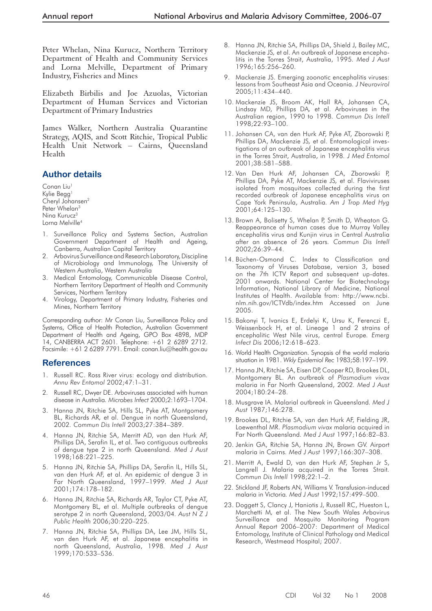Peter Whelan, Nina Kurucz, Northern Territory Department of Health and Community Services and Lorna Melville, Department of Primary Industry, Fisheries and Mines

Elizabeth Birbilis and Joe Azuolas, Victorian Department of Human Services and Victorian Department of Primary Industries

James Walker, Northern Australia Quarantine Strategy, AQIS, and Scott Ritchie, Tropical Public Health Unit Network – Cairns, Queensland Health

# **Author details**

Conan Liu<sup>1</sup> Kylie Begg<sup>1</sup> Cheryl Johansen2 Peter Whelan<sup>3</sup> Ning Kurucz<sup>3</sup> Lorna Melville4

- 1. Surveillance Policy and Systems Section, Australian Government Department of Health and Ageing, Canberra, Australian Capital Territory
- 2. Arbovirus Surveillance and Research Laboratory, Discipline of Microbiology and Immunology, The University of Western Australia, Western Australia
- 3. Medical Entomology, Communicable Disease Control, Northern Territory Department of Health and Community Services, Northern Territory
- 4. Virology, Department of Primary Industry, Fisheries and Mines, Northern Territory

Corresponding author: Mr Conan Liu, Surveillance Policy and Systems, Office of Health Protection, Australian Government Department of Health and Ageing, GPO Box 4898, MDP 14, CANBERRA ACT 2601. Telephone: +61 2 6289 2712. Facsimile: +61 2 6289 7791. Email: conan.liu@health.gov.au

# **References**

- 1. Russell RC. Ross River virus: ecology and distribution*. Annu Rev Entomol* 2002;47:1–31.
- 2. Russell RC, Dwyer DE. Arboviruses associated with human disease in Australia*. Microbes Infect* 2000;2:1693–1704.
- 3. Hanna JN, Ritchie SA, Hills SL, Pyke AT, Montgomery BL, Richards AR*,* et al. Dengue in north Queensland, 2002*. Commun Dis Intell* 2003;27:384–389.
- 4. Hanna JN, Ritchie SA, Merritt AD, van den Hurk AF, Phillips DA, Serafin IL, et al. Two contiguous outbreaks of dengue type 2 in north Queensland*. Med J Aust* 1998;168:221–225.
- 5. Hanna JN, Ritchie SA, Phillips DA, Serafin IL, Hills SL, van den Hurk AF, et al. An epidemic of dengue 3 in Far North Queensland, 1997–1999*. Med J Aust* 2001;174:178–182.
- 6. Hanna JN, Ritchie SA, Richards AR, Taylor CT, Pyke AT, Montgomery BL*,* et al. Multiple outbreaks of dengue serotype 2 in north Queensland, 2003/04*. Aust N Z J Public Health* 2006;30:220–225.
- 7. Hanna JN, Ritchie SA, Phillips DA, Lee JM, Hills SL, van den Hurk AF, et al. Japanese encephalitis in north Queensland, Australia, 1998*. Med J Aust* 1999;170:533–536.
- 8. Hanna JN, Ritchie SA, Phillips DA, Shield J, Bailey MC, Mackenzie JS*,* et al. An outbreak of Japanese encephalitis in the Torres Strait, Australia, 1995*. Med J Aust* 1996;165:256–260.
- 9. Mackenzie JS. Emerging zoonotic encephalitis viruses: lessons from Southeast Asia and Oceania*. J Neurovirol* 2005;11:434–440.
- 10. Mackenzie JS, Broom AK, Hall RA, Johansen CA, Lindsay MD, Phillips DA*,* et al. Arboviruses in the Australian region, 1990 to 1998*. Commun Dis Intell* 1998;22:93–100.
- 11. Johansen CA, van den Hurk AF, Pyke AT, Zborowski P, Phillips DA, Mackenzie JS*,* et al. Entomological investigations of an outbreak of Japanese encephalitis virus in the Torres Strait, Australia, in 1998*. J Med Entomol* 2001;38:581–588.
- 12. Van Den Hurk AF, Johansen CA, Zborowski P, Phillips DA, Pyke AT, Mackenzie JS*,* et al. Flaviviruses isolated from mosquitoes collected during the first recorded outbreak of Japanese encephalitis virus on Cape York Peninsula, Australia*. Am J Trop Med Hyg* 2001;64:125–130.
- 13. Brown A, Bolisetty S, Whelan P, Smith D, Wheaton G. Reappearance of human cases due to Murray Valley encephalitis virus and Kunjin virus in Central Australia after an absence of 26 years*. Commun Dis Intell* 2002;26:39–44.
- 14. Büchen-Osmond C. Index to Classification and Taxonomy of Viruses Database, version 3, based on the 7th ICTV Report and subsequent up-dates. 2001 onwards. National Center for Biotechnology Information, National Library of Medicine, National Institutes of Health. Available from: http://www.ncbi. nlm.nih.gov/ICTVdb/index.htm Accessed on June 2005.
- 15. Bakonyi T, Ivanics E, Erdelyi K, Ursu K, Ferenczi E, Weissenbock H, et al. Lineage 1 and 2 strains of encephalitic West Nile virus, central Europe*. Emerg Infect Dis* 2006;12:618–623.
- 16. World Health Organization. Synopsis of the world malaria situation in 1981. *Wkly Epidemiol Rec* 1983;58:197–199.
- 17. Hanna JN, Ritchie SA, Eisen DP, Cooper RD, Brookes DL, Montgomery BL. An outbreak of *Plasmodium vivax*  malaria in Far North Queensland, 2002*. Med J Aust* 2004;180:24–28.
- 18. Musgrave IA. Malarial outbreak in Queensland*. Med J Aust* 1987;146:278.
- 19. Brookes DL, Ritchie SA, van den Hurk AF, Fielding JR, Loewenthal MR. *Plasmodium vivax* malaria acquired in Far North Queensland*. Med J Aust* 1997;166:82–83.
- 20. Jenkin GA, Ritchie SA, Hanna JN, Brown GV. Airport malaria in Cairns*. Med J Aust* 1997;166:307–308.
- 21. Merritt A, Ewald D, van den Hurk AF, Stephen Jr S, Langrell J. Malaria acquired in the Torres Strait*. Commun Dis Intell* 1998;22:1–2.
- 22. Stickland JF, Roberts AN, Williams V. Transfusion-induced malaria in Victoria*. Med J Aust* 1992;157:499–500.
- 23. Doggett S, Clancy J, Haniotis J, Russell RC, Hueston L, Marchetti M*,* et al. The New South Wales Arbovirus Surveillance and Mosquito Monitoring Program Annual Report 2006–2007: Department of Medical Entomology, Institute of Clinical Pathology and Medical Research, Westmead Hospital; 2007.